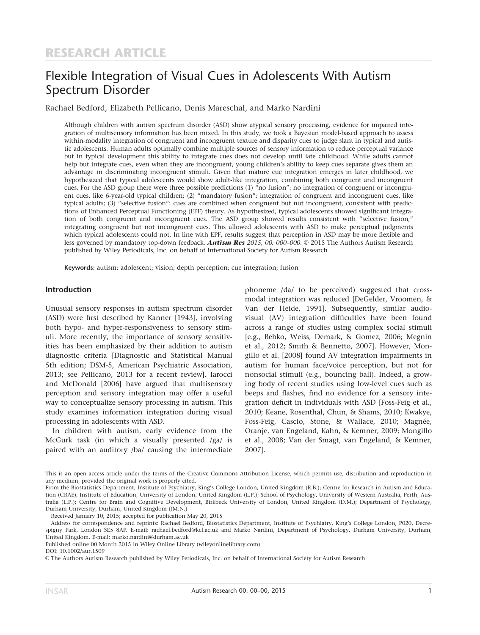# Flexible Integration of Visual Cues in Adolescents With Autism Spectrum Disorder

Rachael Bedford, Elizabeth Pellicano, Denis Mareschal, and Marko Nardini

Although children with autism spectrum disorder (ASD) show atypical sensory processing, evidence for impaired integration of multisensory information has been mixed. In this study, we took a Bayesian model-based approach to assess within-modality integration of congruent and incongruent texture and disparity cues to judge slant in typical and autistic adolescents. Human adults optimally combine multiple sources of sensory information to reduce perceptual variance but in typical development this ability to integrate cues does not develop until late childhood. While adults cannot help but integrate cues, even when they are incongruent, young children's ability to keep cues separate gives them an advantage in discriminating incongruent stimuli. Given that mature cue integration emerges in later childhood, we hypothesized that typical adolescents would show adult-like integration, combining both congruent and incongruent cues. For the ASD group there were three possible predictions (1) "no fusion": no integration of congruent or incongruent cues, like 6-year-old typical children; (2) "mandatory fusion": integration of congruent and incongruent cues, like typical adults; (3) "selective fusion": cues are combined when congruent but not incongruent, consistent with predictions of Enhanced Perceptual Functioning (EPF) theory. As hypothesized, typical adolescents showed significant integration of both congruent and incongruent cues. The ASD group showed results consistent with "selective fusion," integrating congruent but not incongruent cues. This allowed adolescents with ASD to make perceptual judgments which typical adolescents could not. In line with EPF, results suggest that perception in ASD may be more flexible and less governed by mandatory top-down feedback. Autism Res 2015, 00: 000-000. @ 2015 The Authors Autism Research published by Wiley Periodicals, Inc. on behalf of International Society for Autism Research

Keywords: autism; adolescent; vision; depth perception; cue integration; fusion

#### Introduction

Unusual sensory responses in autism spectrum disorder (ASD) were first described by Kanner [1943], involving both hypo- and hyper-responsiveness to sensory stimuli. More recently, the importance of sensory sensitivities has been emphasized by their addition to autism diagnostic criteria [Diagnostic and Statistical Manual 5th edition; DSM-5, American Psychiatric Association, 2013; see Pellicano, 2013 for a recent review]. Iarocci and McDonald [2006] have argued that multisensory perception and sensory integration may offer a useful way to conceptualize sensory processing in autism. This study examines information integration during visual processing in adolescents with ASD.

In children with autism, early evidence from the McGurk task (in which a visually presented /ga/ is paired with an auditory /ba/ causing the intermediate phoneme /da/ to be perceived) suggested that crossmodal integration was reduced [DeGelder, Vroomen, & Van der Heide, 1991]. Subsequently, similar audiovisual (AV) integration difficulties have been found across a range of studies using complex social stimuli [e.g., Bebko, Weiss, Demark, & Gomez, 2006; Megnin et al., 2012; Smith & Bennetto, 2007]. However, Mongillo et al. [2008] found AV integration impairments in autism for human face/voice perception, but not for nonsocial stimuli (e.g., bouncing ball). Indeed, a growing body of recent studies using low-level cues such as beeps and flashes, find no evidence for a sensory integration deficit in individuals with ASD [Foss-Feig et al., 2010; Keane, Rosenthal, Chun, & Shams, 2010; Kwakye, Foss-Feig, Cascio, Stone, & Wallace, 2010; Magnée, Oranje, van Engeland, Kahn, & Kemner, 2009; Mongillo et al., 2008; Van der Smagt, van Engeland, & Kemner, 2007].

Received January 10, 2015; accepted for publication May 20, 2015

Address for correspondence and reprints: Rachael Bedford, Biostatistics Department, Institute of Psychiatry, King's College London, P020, Decrespigny Park, London SE5 8AF. E-mail: rachael.bedford@kcl.ac.uk and Marko Nardini, Department of Psychology, Durham University, Durham, United Kingdom. E-mail: marko.nardini@durham.ac.uk

Published online 00 Month 2015 in Wiley Online Library (wileyonlinelibrary.com)

DOI: 10.1002/aur.1509

This is an open access article under the terms of the [Creative Commons Attribution](http://creativecommons.org/licenses/by/3.0/) License, which permits use, distribution and reproduction in any medium, provided the original work is properly cited.

From the Biostatistics Department, Institute of Psychiatry, King's College London, United Kingdom (R.B.); Centre for Research in Autism and Education (CRAE), Institute of Education, University of London, United Kingdom (L.P.); School of Psychology, University of Western Australia, Perth, Australia (L.P.); Centre for Brain and Cognitive Development, Birkbeck University of London, United Kingdom (D.M.); Department of Psychology, Durham University, Durham, United Kingdom ((M.N.)

<sup>&</sup>lt;sup>©</sup> The Authors Autism Research published by Wiley Periodicals, Inc. on behalf of International Society for Autism Research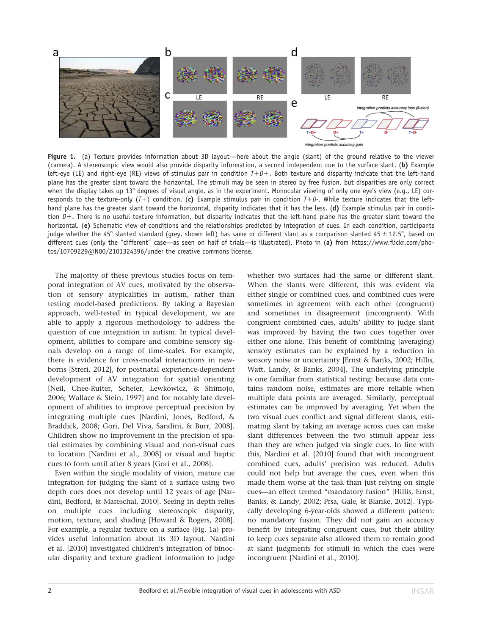

Figure 1. (a) Texture provides information about 3D layout—here about the angle (slant) of the ground relative to the viewer (camera). A stereoscopic view would also provide disparity information, a second independent cue to the surface slant. (b) Example left-eye (LE) and right-eye (RE) views of stimulus pair in condition  $T+D+$ . Both texture and disparity indicate that the left-hand plane has the greater slant toward the horizontal. The stimuli may be seen in stereo by free fusion, but disparities are only correct when the display takes up 13° degrees of visual angle, as in the experiment. Monocular viewing of only one eye's view (e.g., LE) corresponds to the texture-only  $(T+)$  condition. (c) Example stimulus pair in condition  $T+D$ -. While texture indicates that the lefthand plane has the greater slant toward the horizontal, disparity indicates that it has the less. (d) Example stimulus pair in condition  $D+$ . There is no useful texture information, but disparity indicates that the left-hand plane has the greater slant toward the horizontal. (e) Schematic view of conditions and the relationships predicted by integration of cues. In each condition, participants judge whether the 45° slanted standard (grey, shown left) has same or different slant as a comparison slanted 45  $\pm$  12.5°, based on different cues (only the "different" case—as seen on half of trials—is illustrated). Photo in (a) from [https://www.flickr.com/pho](http://https://www.flickr.com/photos/10709229/2101324396/)[tos/10709229@N00/2101324396/u](http://https://www.flickr.com/photos/10709229/2101324396/)nder the creative commons license.

The majority of these previous studies focus on temporal integration of AV cues, motivated by the observation of sensory atypicalities in autism, rather than testing model-based predictions. By taking a Bayesian approach, well-tested in typical development, we are able to apply a rigorous methodology to address the question of cue integration in autism. In typical development, abilities to compare and combine sensory signals develop on a range of time-scales. For example, there is evidence for cross-modal interactions in newborns [Streri, 2012], for postnatal experience-dependent development of AV integration for spatial orienting [Neil, Chee-Ruiter, Scheier, Lewkowicz, & Shimojo, 2006; Wallace & Stein, 1997] and for notably late development of abilities to improve perceptual precision by integrating multiple cues [Nardini, Jones, Bedford, & Braddick, 2008; Gori, Del Viva, Sandini, & Burr, 2008]. Children show no improvement in the precision of spatial estimates by combining visual and non-visual cues to location [Nardini et al., 2008] or visual and haptic cues to form until after 8 years [Gori et al., 2008].

Even within the single modality of vision, mature cue integration for judging the slant of a surface using two depth cues does not develop until 12 years of age [Nardini, Bedford, & Mareschal, 2010]. Seeing in depth relies on multiple cues including stereoscopic disparity, motion, texture, and shading [Howard & Rogers, 2008]. For example, a regular texture on a surface (Fig. 1a) provides useful information about its 3D layout. Nardini et al. [2010] investigated children's integration of binocular disparity and texture gradient information to judge whether two surfaces had the same or different slant. When the slants were different, this was evident via either single or combined cues, and combined cues were sometimes in agreement with each other (congruent) and sometimes in disagreement (incongruent). With congruent combined cues, adults' ability to judge slant was improved by having the two cues together over either one alone. This benefit of combining (averaging) sensory estimates can be explained by a reduction in sensory noise or uncertainty [Ernst & Banks, 2002; Hillis, Watt, Landy, & Banks, 2004]. The underlying principle is one familiar from statistical testing: because data contains random noise, estimates are more reliable when multiple data points are averaged. Similarly, perceptual estimates can be improved by averaging. Yet when the two visual cues conflict and signal different slants, estimating slant by taking an average across cues can make slant differences between the two stimuli appear less than they are when judged via single cues. In line with this, Nardini et al. [2010] found that with incongruent combined cues, adults' precision was reduced. Adults could not help but average the cues, even when this made them worse at the task than just relying on single cues—an effect termed "mandatory fusion" [Hillis, Ernst, Banks, & Landy, 2002; Prsa, Gale, & Blanke, 2012]. Typically developing 6-year-olds showed a different pattern: no mandatory fusion. They did not gain an accuracy benefit by integrating congruent cues, but their ability to keep cues separate also allowed them to remain good at slant judgments for stimuli in which the cues were incongruent [Nardini et al., 2010].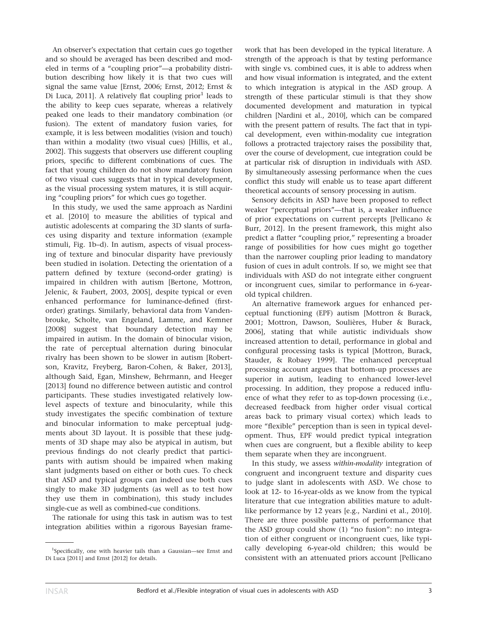An observer's expectation that certain cues go together and so should be averaged has been described and modeled in terms of a "coupling prior"—a probability distribution describing how likely it is that two cues will signal the same value [Ernst, 2006; Ernst, 2012; Ernst & Di Luca, 2011]. A relatively flat coupling  $prior<sup>1</sup>$  leads to the ability to keep cues separate, whereas a relatively peaked one leads to their mandatory combination (or fusion). The extent of mandatory fusion varies, for example, it is less between modalities (vision and touch) than within a modality (two visual cues) [Hillis, et al., 2002]. This suggests that observers use different coupling priors, specific to different combinations of cues. The fact that young children do not show mandatory fusion of two visual cues suggests that in typical development, as the visual processing system matures, it is still acquiring "coupling priors" for which cues go together.

In this study, we used the same approach as Nardini et al. [2010] to measure the abilities of typical and autistic adolescents at comparing the 3D slants of surfaces using disparity and texture information (example stimuli, Fig. 1b–d). In autism, aspects of visual processing of texture and binocular disparity have previously been studied in isolation. Detecting the orientation of a pattern defined by texture (second-order grating) is impaired in children with autism [Bertone, Mottron, Jelenic, & Faubert, 2003, 2005], despite typical or even enhanced performance for luminance-defined (firstorder) gratings. Similarly, behavioral data from Vandenbrouke, Scholte, van Engeland, Lamme, and Kemner [2008] suggest that boundary detection may be impaired in autism. In the domain of binocular vision, the rate of perceptual alternation during binocular rivalry has been shown to be slower in autism [Robertson, Kravitz, Freyberg, Baron-Cohen, & Baker, 2013], although Said, Egan, Minshew, Behrmann, and Heeger [2013] found no difference between autistic and control participants. These studies investigated relatively lowlevel aspects of texture and binocularity, while this study investigates the specific combination of texture and binocular information to make perceptual judgments about 3D layout. It is possible that these judgments of 3D shape may also be atypical in autism, but previous findings do not clearly predict that participants with autism should be impaired when making slant judgments based on either or both cues. To check that ASD and typical groups can indeed use both cues singly to make 3D judgments (as well as to test how they use them in combination), this study includes single-cue as well as combined-cue conditions.

The rationale for using this task in autism was to test integration abilities within a rigorous Bayesian framework that has been developed in the typical literature. A strength of the approach is that by testing performance with single vs. combined cues, it is able to address when and how visual information is integrated, and the extent to which integration is atypical in the ASD group. A strength of these particular stimuli is that they show documented development and maturation in typical children [Nardini et al., 2010], which can be compared with the present pattern of results. The fact that in typical development, even within-modality cue integration follows a protracted trajectory raises the possibility that, over the course of development, cue integration could be at particular risk of disruption in individuals with ASD. By simultaneously assessing performance when the cues conflict this study will enable us to tease apart different theoretical accounts of sensory processing in autism.

Sensory deficits in ASD have been proposed to reflect weaker "perceptual priors"—that is, a weaker influence of prior expectations on current percepts [Pellicano & Burr, 2012]. In the present framework, this might also predict a flatter "coupling prior," representing a broader range of possibilities for how cues might go together than the narrower coupling prior leading to mandatory fusion of cues in adult controls. If so, we might see that individuals with ASD do not integrate either congruent or incongruent cues, similar to performance in 6-yearold typical children.

An alternative framework argues for enhanced perceptual functioning (EPF) autism [Mottron & Burack, 2001; Mottron, Dawson, Soulières, Huber & Burack, 2006], stating that while autistic individuals show increased attention to detail, performance in global and configural processing tasks is typical [Mottron, Burack, Stauder, & Robaey 1999]. The enhanced perceptual processing account argues that bottom-up processes are superior in autism, leading to enhanced lower-level processing. In addition, they propose a reduced influence of what they refer to as top-down processing (i.e., decreased feedback from higher order visual cortical areas back to primary visual cortex) which leads to more "flexible" perception than is seen in typical development. Thus, EPF would predict typical integration when cues are congruent, but a flexible ability to keep them separate when they are incongruent.

In this study, we assess within-modality integration of congruent and incongruent texture and disparity cues to judge slant in adolescents with ASD. We chose to look at 12- to 16-year-olds as we know from the typical literature that cue integration abilities mature to adultlike performance by 12 years [e.g., Nardini et al., 2010]. There are three possible patterns of performance that the ASD group could show (1) "no fusion": no integration of either congruent or incongruent cues, like typically developing 6-year-old children; this would be consistent with an attenuated priors account [Pellicano

<sup>&</sup>lt;sup>1</sup>Specifically, one with heavier tails than a Gaussian-see Ernst and Di Luca [2011] and Ernst [2012] for details.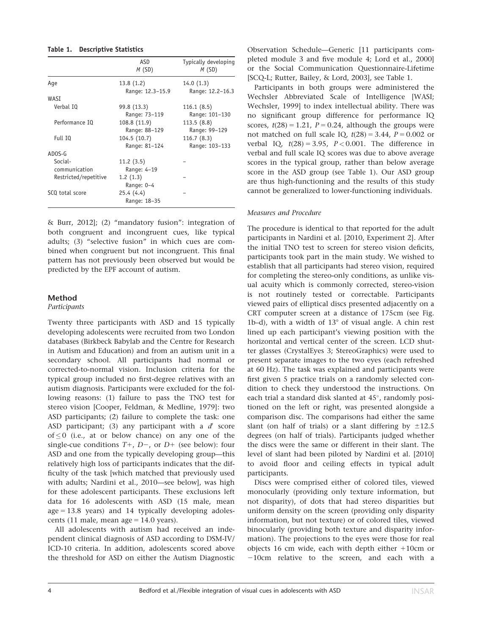Table 1. Descriptive Statistics

|                          | ASD<br>M(SD)                  | Typically developing<br>M(SD) |
|--------------------------|-------------------------------|-------------------------------|
| Aqe                      | 13.8(1.2)<br>Range: 12.3-15.9 | 14.0(1.3)<br>Range: 12.2-16.3 |
| WASI                     |                               |                               |
| Verbal IQ                | 99.8 (13.3)<br>Range: 73-119  | 116.1(8.5)<br>Range: 101-130  |
| Performance IQ           | 108.8 (11.9)<br>Range: 88-129 | 113.5(8.8)<br>Range: 99-129   |
| Full IO                  | 104.5 (10.7)<br>Range: 81-124 | 116.7(8.3)<br>Range: 103-133  |
| $ADOS-G$                 |                               |                               |
| Social-<br>communication | 11.2(3.5)<br>Range: 4-19      |                               |
| Restricted/repetitive    | 1.2(1.3)<br>Range: 0-4        |                               |
| SCO total score          | 25.4 (4.4)<br>Range: 18-35    |                               |

& Burr, 2012]; (2) "mandatory fusion": integration of both congruent and incongruent cues, like typical adults; (3) "selective fusion" in which cues are combined when congruent but not incongruent. This final pattern has not previously been observed but would be predicted by the EPF account of autism.

## Method

## Participants

Twenty three participants with ASD and 15 typically developing adolescents were recruited from two London databases (Birkbeck Babylab and the Centre for Research in Autism and Education) and from an autism unit in a secondary school. All participants had normal or corrected-to-normal vision. Inclusion criteria for the typical group included no first-degree relatives with an autism diagnosis. Participants were excluded for the following reasons: (1) failure to pass the TNO test for stereo vision [Cooper, Feldman, & Medline, 1979]: two ASD participants; (2) failure to complete the task: one ASD participant; (3) any participant with a  $d'$  score of  $\leq 0$  (i.e., at or below chance) on any one of the single-cue conditions  $T+$ ,  $D-$ , or  $D+$  (see below): four ASD and one from the typically developing group—this relatively high loss of participants indicates that the difficulty of the task [which matched that previously used with adults; Nardini et al., 2010—see below], was high for these adolescent participants. These exclusions left data for 16 adolescents with ASD (15 male, mean  $age = 13.8$  years) and 14 typically developing adolescents (11 male, mean age  $= 14.0$  years).

All adolescents with autism had received an independent clinical diagnosis of ASD according to DSM-IV/ ICD-10 criteria. In addition, adolescents scored above the threshold for ASD on either the Autism Diagnostic Observation Schedule—Generic [11 participants completed module 3 and five module 4; Lord et al., 2000] or the Social Communication Questionnaire-Lifetime [SCQ-L; Rutter, Bailey, & Lord, 2003], see Table 1.

Participants in both groups were administered the Wechsler Abbreviated Scale of Intelligence [WASI; Wechsler, 1999] to index intellectual ability. There was no significant group difference for performance IQ scores,  $t(28) = 1.21$ ,  $P = 0.24$ , although the groups were not matched on full scale IQ,  $t(28) = 3.44$ ,  $P = 0.002$  or verbal IQ,  $t(28) = 3.95$ ,  $P < 0.001$ . The difference in verbal and full scale IQ scores was due to above average scores in the typical group, rather than below average score in the ASD group (see Table 1). Our ASD group are thus high-functioning and the results of this study cannot be generalized to lower-functioning individuals.

## Measures and Procedure

The procedure is identical to that reported for the adult participants in Nardini et al. [2010, Experiment 2]. After the initial TNO test to screen for stereo vision deficits, participants took part in the main study. We wished to establish that all participants had stereo vision, required for completing the stereo-only conditions, as unlike visual acuity which is commonly corrected, stereo-vision is not routinely tested or correctable. Participants viewed pairs of elliptical discs presented adjacently on a CRT computer screen at a distance of 175cm (see Fig. 1b–d), with a width of  $13^{\circ}$  of visual angle. A chin rest lined up each participant's viewing position with the horizontal and vertical center of the screen. LCD shutter glasses (CrystalEyes 3; StereoGraphics) were used to present separate images to the two eyes (each refreshed at 60 Hz). The task was explained and participants were first given 5 practice trials on a randomly selected condition to check they understood the instructions. On each trial a standard disk slanted at 45°, randomly positioned on the left or right, was presented alongside a comparison disc. The comparisons had either the same slant (on half of trials) or a slant differing by  $\pm 12.5$ degrees (on half of trials). Participants judged whether the discs were the same or different in their slant. The level of slant had been piloted by Nardini et al. [2010] to avoid floor and ceiling effects in typical adult participants.

Discs were comprised either of colored tiles, viewed monocularly (providing only texture information, but not disparity), of dots that had stereo disparities but uniform density on the screen (providing only disparity information, but not texture) or of colored tiles, viewed binocularly (providing both texture and disparity information). The projections to the eyes were those for real objects 16 cm wide, each with depth either  $+10$ cm or  $-10$ cm relative to the screen, and each with a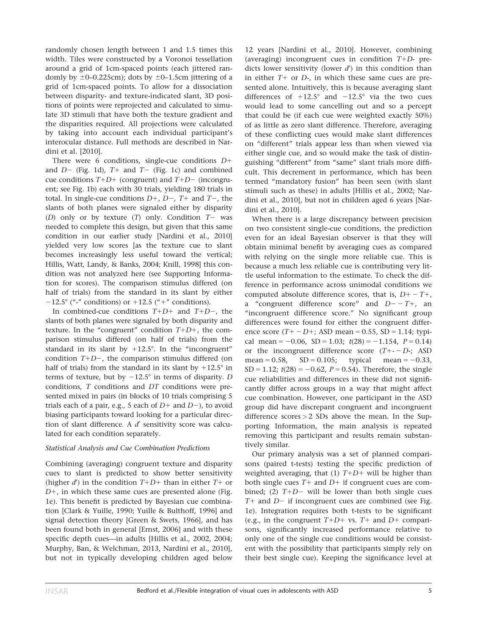randomly chosen length between 1 and 1.5 times this width. Tiles were constructed by a Voronoi tessellation around a grid of 1cm-spaced points (each jittered randomly by  $\pm$ 0–0.225cm); dots by  $\pm$ 0–1.5cm jittering of a grid of 1cm-spaced points. To allow for a dissociation between disparity- and texture-indicated slant, 3D positions of points were reprojected and calculated to simulate 3D stimuli that have both the texture gradient and the disparities required. All projections were calculated by taking into account each individual participant's interocular distance. Full methods are described in Nardini et al. [2010].

There were 6 conditions, single-cue conditions  $D+$ and  $D-$  (Fig. 1d),  $T+$  and  $T-$  (Fig. 1c) and combined cue conditions  $T+D+$  (congruent) and  $T+D-$  (incongruent; see Fig. 1b) each with 30 trials, yielding 180 trials in total. In single-cue conditions  $D+$ ,  $D-$ ,  $T+$  and  $T-$ , the slants of both planes were signaled either by disparity (D) only or by texture (T) only. Condition  $T-$  was needed to complete this design, but given that this same condition in our earlier study [Nardini et al., 2010] yielded very low scores [as the texture cue to slant becomes increasingly less useful toward the vertical; Hillis, Watt, Landy, & Banks, 2004; Knill, 1998] this condition was not analyzed here (see Supporting Information for scores). The comparison stimulus differed (on half of trials) from the standard in its slant by either  $-12.5^{\circ}$  ("-" conditions) or  $+12.5$  ("+" conditions).

In combined-cue conditions  $T+D+$  and  $T+D-$ , the slants of both planes were signaled by both disparity and texture. In the "congruent" condition  $T+D+$ , the comparison stimulus differed (on half of trials) from the standard in its slant by  $+12.5^{\circ}$ . In the "incongruent" condition  $T+D-$ , the comparison stimulus differed (on half of trials) from the standard in its slant by  $+12.5^\circ$  in terms of texture, but by  $-12.5^{\circ}$  in terms of disparity. D conditions, T conditions and DT conditions were presented mixed in pairs (in blocks of 10 trials comprising 5 trials each of a pair, e.g., 5 each of  $D+$  and  $D-$ ), to avoid biasing participants toward looking for a particular direction of slant difference. A  $d'$  sensitivity score was calculated for each condition separately.

## Statistical Analysis and Cue Combination Predictions

Combining (averaging) congruent texture and disparity cues to slant is predicted to show better sensitivity (higher  $d'$ ) in the condition  $T+D+$  than in either  $T+$  or  $D+$ , in which these same cues are presented alone (Fig. 1e). This benefit is predicted by Bayesian cue combination [Clark & Yuille, 1990; Yuille & Bulthoff, 1996] and signal detection theory [Green & Swets, 1966], and has been found both in general [Ernst, 2006] and with these specific depth cues—in adults [Hillis et al., 2002, 2004; Murphy, Ban, & Welchman, 2013, Nardini et al., 2010], but not in typically developing children aged below 12 years [Nardini et al., 2010]. However, combining (averaging) incongruent cues in condition  $T+D$ - predicts lower sensitivity (lower  $d'$ ) in this condition than in either  $T+$  or  $D-$ , in which these same cues are presented alone. Intuitively, this is because averaging slant differences of  $+12.5^{\circ}$  and  $-12.5^{\circ}$  via the two cues would lead to some cancelling out and so a percept that could be (if each cue were weighted exactly 50%) of as little as zero slant difference. Therefore, averaging of these conflicting cues would make slant differences on "different" trials appear less than when viewed via either single cue, and so would make the task of distinguishing "different" from "same" slant trials more difficult. This decrement in performance, which has been termed "mandatory fusion" has been seen (with slant stimuli such as these) in adults [Hillis et al., 2002; Nardini et al., 2010], but not in children aged 6 years [Nardini et al., 2010].

When there is a large discrepancy between precision on two consistent single-cue conditions, the prediction even for an ideal Bayesian observer is that they will obtain minimal benefit by averaging cues as compared with relying on the single more reliable cue. This is because a much less reliable cue is contributing very little useful information to the estimate. To check the difference in performance across unimodal conditions we computed absolute difference scores, that is,  $D + -T +$ , a "congruent difference score" and  $D - T +$ , an "incongruent difference score." No significant group differences were found for either the congruent difference score  $(T + -D +$ ; ASD mean = 0.55, SD = 1.14; typical mean =  $-0.06$ , SD = 1.03;  $t(28) = -1.154$ ,  $P = 0.14$ ) or the incongruent difference score  $(T + -D-;$  ASD mean =  $0.58$ , SD =  $0.105$ ; typical mean =  $-0.33$ ,  $SD = 1.12$ ;  $t(28) = -0.62$ ,  $P = 0.54$ ). Therefore, the single cue reliabilities and differences in these did not significantly differ across groups in a way that might affect cue combination. However, one participant in the ASD group did have discrepant congruent and incongruent difference  $scores > 2$  SDs above the mean. In the Supporting Information, the main analysis is repeated removing this participant and results remain substantively similar.

Our primary analysis was a set of planned comparisons (paired t-tests) testing the specific prediction of weighted averaging, that (1)  $T+D+$  will be higher than both single cues  $T+$  and  $D+$  if congruent cues are combined; (2)  $T+D$  will be lower than both single cues  $T+$  and  $D-$  if incongruent cues are combined (see Fig. 1e). Integration requires both t-tests to be significant (e.g., in the congruent  $T+D+$  vs.  $T+$  and  $D+$  comparisons, significantly increased performance relative to only one of the single cue conditions would be consistent with the possibility that participants simply rely on their best single cue). Keeping the significance level at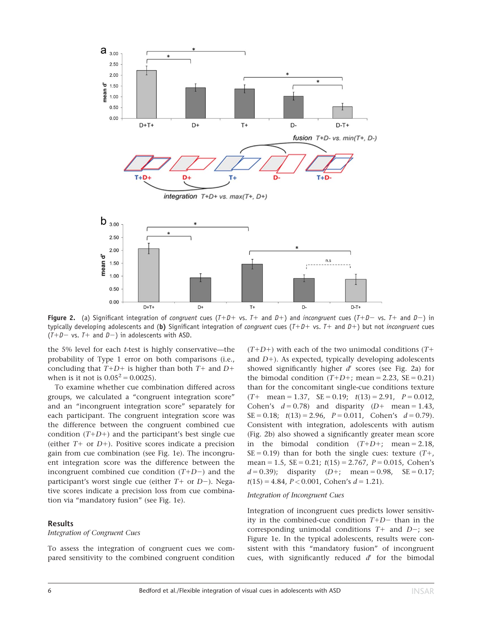

Figure 2. (a) Significant integration of congruent cues  $(T+D+$  vs. T+ and D+) and incongruent cues  $(T+D-$  vs. T+ and D-) in typically developing adolescents and (b) Significant integration of congruent cues  $(T+D+vs. T+$  and  $D+$ ) but not incongruent cues  $(T+D$  vs. T+ and D-) in adolescents with ASD.

the 5% level for each t-test is highly conservative—the probability of Type 1 error on both comparisons (i.e., concluding that  $T+D+$  is higher than both  $T+$  and  $D+$ when is it not is  $0.05^2 = 0.0025$ .

To examine whether cue combination differed across groups, we calculated a "congruent integration score" and an "incongruent integration score" separately for each participant. The congruent integration score was the difference between the congruent combined cue condition  $(T+D+)$  and the participant's best single cue (either  $T+$  or  $D+$ ). Positive scores indicate a precision gain from cue combination (see Fig. 1e). The incongruent integration score was the difference between the incongruent combined cue condition  $(T+D-)$  and the participant's worst single cue (either  $T+$  or  $D-$ ). Negative scores indicate a precision loss from cue combination via "mandatory fusion" (see Fig. 1e).

#### Results

#### Integration of Congruent Cues

To assess the integration of congruent cues we compared sensitivity to the combined congruent condition

 $(T+D+)$  with each of the two unimodal conditions  $(T+D)$ and  $D+$ ). As expected, typically developing adolescents showed significantly higher  $d'$  scores (see Fig. 2a) for the bimodal condition  $(T+D)$ ; mean = 2.23, SE = 0.21) than for the concomitant single-cue conditions texture  $(T+ \text{mean} = 1.37, \text{ SE} = 0.19; t(13) = 2.91, P = 0.012,$ Cohen's  $d = 0.78$ ) and disparity  $(D+$  mean = 1.43,  $SE = 0.18$ ;  $t(13) = 2.96$ ,  $P = 0.011$ , Cohen's  $d = 0.79$ ). Consistent with integration, adolescents with autism (Fig. 2b) also showed a significantly greater mean score in the bimodal condition  $(T+D)$ ; mean = 2.18,  $SE = 0.19$ ) than for both the single cues: texture  $(T<sup>+</sup>)$ , mean = 1.5, SE = 0.21;  $t(15) = 2.767$ ,  $P = 0.015$ , Cohen's  $d = 0.39$ ; disparity  $(D+; \text{mean} = 0.98, \text{ SE} = 0.17;$  $t(15) = 4.84$ ,  $P < 0.001$ , Cohen's  $d = 1.21$ .

#### Integration of Incongruent Cues

Integration of incongruent cues predicts lower sensitivity in the combined-cue condition  $T+D$  than in the corresponding unimodal conditions  $T+$  and  $D-$ ; see Figure 1e. In the typical adolescents, results were consistent with this "mandatory fusion" of incongruent cues, with significantly reduced  $d'$  for the bimodal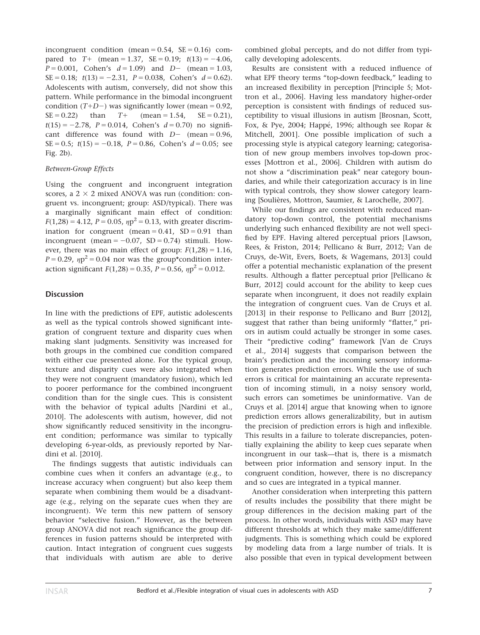incongruent condition (mean  $= 0.54$ ,  $SE = 0.16$ ) compared to  $T+$  (mean = 1.37, SE = 0.19;  $t(13) = -4.06$ ,  $P = 0.001$ , Cohen's  $d = 1.09$  and  $D-$  (mean = 1.03,  $SE = 0.18$ ;  $t(13) = -2.31$ ,  $P = 0.038$ , Cohen's  $d = 0.62$ ). Adolescents with autism, conversely, did not show this pattern. While performance in the bimodal incongruent condition  $(T+D-)$  was significantly lower (mean = 0.92,  $SE = 0.22$ ) than  $T+$  (mean = 1.54,  $SE = 0.21$ ),  $t(15) = -2.78$ ,  $P = 0.014$ , Cohen's  $d = 0.70$ ) no significant difference was found with  $D-$  (mean = 0.96, SE = 0.5;  $t(15) = -0.18$ ,  $P = 0.86$ , Cohen's  $d = 0.05$ ; see Fig. 2b).

## Between-Group Effects

Using the congruent and incongruent integration scores, a  $2 \times 2$  mixed ANOVA was run (condition: congruent vs. incongruent; group: ASD/typical). There was a marginally significant main effect of condition:  $F(1,28) = 4.12$ ,  $P = 0.05$ ,  $\eta p^2 = 0.13$ , with greater discrimination for congruent (mean =  $0.41$ , SD =  $0.91$  than incongruent (mean  $= -0.07$ , SD  $= 0.74$ ) stimuli. However, there was no main effect of group:  $F(1,28) = 1.16$ ,  $P = 0.29$ ,  $\eta p^2 = 0.04$  nor was the group\*condition interaction significant  $F(1,28) = 0.35$ ,  $P = 0.56$ ,  $\eta p^2 = 0.012$ .

## **Discussion**

In line with the predictions of EPF, autistic adolescents as well as the typical controls showed significant integration of congruent texture and disparity cues when making slant judgments. Sensitivity was increased for both groups in the combined cue condition compared with either cue presented alone. For the typical group, texture and disparity cues were also integrated when they were not congruent (mandatory fusion), which led to poorer performance for the combined incongruent condition than for the single cues. This is consistent with the behavior of typical adults [Nardini et al., 2010]. The adolescents with autism, however, did not show significantly reduced sensitivity in the incongruent condition; performance was similar to typically developing 6-year-olds, as previously reported by Nardini et al. [2010].

The findings suggests that autistic individuals can combine cues when it confers an advantage (e.g., to increase accuracy when congruent) but also keep them separate when combining them would be a disadvantage (e.g., relying on the separate cues when they are incongruent). We term this new pattern of sensory behavior "selective fusion." However, as the between group ANOVA did not reach significance the group differences in fusion patterns should be interpreted with caution. Intact integration of congruent cues suggests that individuals with autism are able to derive combined global percepts, and do not differ from typically developing adolescents.

Results are consistent with a reduced influence of what EPF theory terms "top-down feedback," leading to an increased flexibility in perception [Principle 5; Mottron et al., 2006]. Having less mandatory higher-order perception is consistent with findings of reduced susceptibility to visual illusions in autism [Brosnan, Scott, Fox, & Pye, 2004; Happé, 1996; although see Ropar & Mitchell, 2001]. One possible implication of such a processing style is atypical category learning; categorisation of new group members involves top-down processes [Mottron et al., 2006]. Children with autism do not show a "discrimination peak" near category boundaries, and while their categorization accuracy is in line with typical controls, they show slower category learning [Soulières, Mottron, Saumier, & Larochelle, 2007].

While our findings are consistent with reduced mandatory top-down control, the potential mechanisms underlying such enhanced flexibility are not well specified by EPF. Having altered perceptual priors [Lawson, Rees, & Friston, 2014; Pellicano & Burr, 2012; Van de Cruys, de-Wit, Evers, Boets, & Wagemans, 2013] could offer a potential mechanistic explanation of the present results. Although a flatter perceptual prior [Pellicano & Burr, 2012] could account for the ability to keep cues separate when incongruent, it does not readily explain the integration of congruent cues. Van de Cruys et al. [2013] in their response to Pellicano and Burr [2012], suggest that rather than being uniformly "flatter," priors in autism could actually be stronger in some cases. Their "predictive coding" framework [Van de Cruys et al., 2014] suggests that comparison between the brain's prediction and the incoming sensory information generates prediction errors. While the use of such errors is critical for maintaining an accurate representation of incoming stimuli, in a noisy sensory world, such errors can sometimes be uninformative. Van de Cruys et al. [2014] argue that knowing when to ignore prediction errors allows generalizability, but in autism the precision of prediction errors is high and inflexible. This results in a failure to tolerate discrepancies, potentially explaining the ability to keep cues separate when incongruent in our task—that is, there is a mismatch between prior information and sensory input. In the congruent condition, however, there is no discrepancy and so cues are integrated in a typical manner.

Another consideration when interpreting this pattern of results includes the possibility that there might be group differences in the decision making part of the process. In other words, individuals with ASD may have different thresholds at which they make same/different judgments. This is something which could be explored by modeling data from a large number of trials. It is also possible that even in typical development between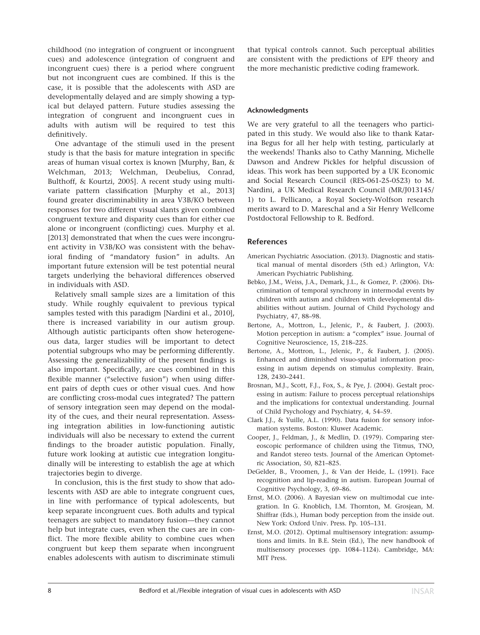childhood (no integration of congruent or incongruent cues) and adolescence (integration of congruent and incongruent cues) there is a period where congruent but not incongruent cues are combined. If this is the case, it is possible that the adolescents with ASD are developmentally delayed and are simply showing a typical but delayed pattern. Future studies assessing the integration of congruent and incongruent cues in adults with autism will be required to test this definitively.

One advantage of the stimuli used in the present study is that the basis for mature integration in specific areas of human visual cortex is known [Murphy, Ban, & Welchman, 2013; Welchman, Deubelius, Conrad, Bulthoff, & Kourtzi, 2005]. A recent study using multivariate pattern classification [Murphy et al., 2013] found greater discriminability in area V3B/KO between responses for two different visual slants given combined congruent texture and disparity cues than for either cue alone or incongruent (conflicting) cues. Murphy et al. [2013] demonstrated that when the cues were incongruent activity in V3B/KO was consistent with the behavioral finding of "mandatory fusion" in adults. An important future extension will be test potential neural targets underlying the behavioral differences observed in individuals with ASD.

Relatively small sample sizes are a limitation of this study. While roughly equivalent to previous typical samples tested with this paradigm [Nardini et al., 2010], there is increased variability in our autism group. Although autistic participants often show heterogeneous data, larger studies will be important to detect potential subgroups who may be performing differently. Assessing the generalizability of the present findings is also important. Specifically, are cues combined in this flexible manner ("selective fusion") when using different pairs of depth cues or other visual cues. And how are conflicting cross-modal cues integrated? The pattern of sensory integration seen may depend on the modality of the cues, and their neural representation. Assessing integration abilities in low-functioning autistic individuals will also be necessary to extend the current findings to the broader autistic population. Finally, future work looking at autistic cue integration longitudinally will be interesting to establish the age at which trajectories begin to diverge.

In conclusion, this is the first study to show that adolescents with ASD are able to integrate congruent cues, in line with performance of typical adolescents, but keep separate incongruent cues. Both adults and typical teenagers are subject to mandatory fusion—they cannot help but integrate cues, even when the cues are in conflict. The more flexible ability to combine cues when congruent but keep them separate when incongruent enables adolescents with autism to discriminate stimuli

that typical controls cannot. Such perceptual abilities are consistent with the predictions of EPF theory and the more mechanistic predictive coding framework.

## Acknowledgments

We are very grateful to all the teenagers who participated in this study. We would also like to thank Katarina Begus for all her help with testing, particularly at the weekends! Thanks also to Cathy Manning, Michelle Dawson and Andrew Pickles for helpful discussion of ideas. This work has been supported by a UK Economic and Social Research Council (RES-061-25-0523) to M. Nardini, a UK Medical Research Council (MR/J013145/ 1) to L. Pellicano, a Royal Society-Wolfson research merits award to D. Mareschal and a Sir Henry Wellcome Postdoctoral Fellowship to R. Bedford.

## References

- American Psychiatric Association. (2013). Diagnostic and statistical manual of mental disorders (5th ed.) Arlington, VA: American Psychiatric Publishing.
- Bebko, J.M., Weiss, J.A., Demark, J.L., & Gomez, P. (2006). Discrimination of temporal synchrony in intermodal events by children with autism and children with developmental disabilities without autism. Journal of Child Psychology and Psychiatry, 47, 88–98.
- Bertone, A., Mottron, L., Jelenic, P., & Faubert, J. (2003). Motion perception in autism: a "complex" issue. Journal of Cognitive Neuroscience, 15, 218–225.
- Bertone, A., Mottron, L., Jelenic, P., & Faubert, J. (2005). Enhanced and diminished visuo-spatial information processing in autism depends on stimulus complexity. Brain, 128, 2430–2441.
- Brosnan, M.J., Scott, F.J., Fox, S., & Pye, J. (2004). Gestalt processing in autism: Failure to process perceptual relationships and the implications for contextual understanding. Journal of Child Psychology and Psychiatry, 4, 54–59.
- Clark J.J., & Yuille, A.L. (1990). Data fusion for sensory information systems. Boston: Kluwer Academic.
- Cooper, J., Feldman, J., & Medlin, D. (1979). Comparing stereoscopic performance of children using the Titmus, TNO, and Randot stereo tests. Journal of the American Optometric Association, 50, 821–825.
- DeGelder, B., Vroomen, J., & Van der Heide, L. (1991). Face recognition and lip-reading in autism. European Journal of Cognitive Psychology, 3, 69–86.
- Ernst, M.O. (2006). A Bayesian view on multimodal cue integration. In G. Knoblich, I.M. Thornton, M. Grosjean, M. Shiffrar (Eds.), Human body perception from the inside out. New York: Oxford Univ. Press. Pp. 105–131.
- Ernst, M.O. (2012). Optimal multisensory integration: assumptions and limits. In B.E. Stein (Ed.), The new handbook of multisensory processes (pp. 1084–1124). Cambridge, MA: MIT Press.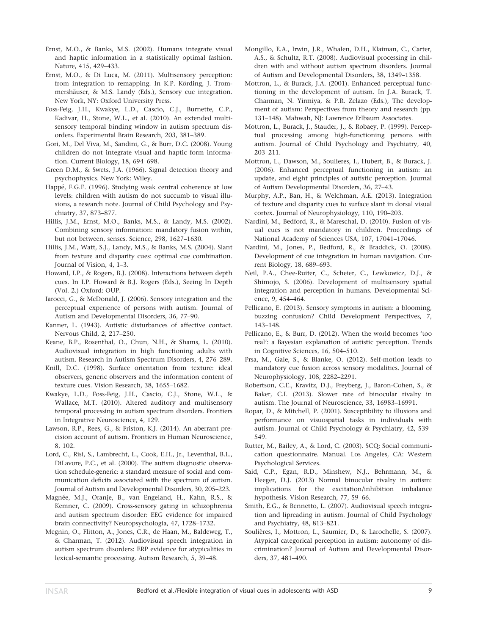Ernst, M.O., & Banks, M.S. (2002). Humans integrate visual and haptic information in a statistically optimal fashion. Nature, 415, 429–433.

Ernst, M.O., & Di Luca, M. (2011). Multisensory perception: from integration to remapping. In K.P. Körding, J. Trommershäuser, & M.S. Landy (Eds.), Sensory cue integration. New York, NY: Oxford University Press.

Foss-Feig, J.H., Kwakye, L.D., Cascio, C.J., Burnette, C.P., Kadivar, H., Stone, W.L., et al. (2010). An extended multisensory temporal binding window in autism spectrum disorders. Experimental Brain Research, 203, 381–389.

Gori, M., Del Viva, M., Sandini, G., & Burr, D.C. (2008). Young children do not integrate visual and haptic form information. Current Biology, 18, 694–698.

Green D.M., & Swets, J.A. (1966). Signal detection theory and psychophysics. New York: Wiley.

Happé, F.G.E. (1996). Studying weak central coherence at low levels: children with autism do not succumb to visual illusions, a research note. Journal of Child Psychology and Psychiatry, 37, 873–877.

Hillis, J.M., Ernst, M.O., Banks, M.S., & Landy, M.S. (2002). Combining sensory information: mandatory fusion within, but not between, senses. Science, 298, 1627–1630.

Hillis, J.M., Watt, S.J., Landy, M.S., & Banks, M.S. (2004). Slant from texture and disparity cues: optimal cue combination. Journal of Vision, 4, 1–3.

Howard, I.P., & Rogers, B.J. (2008). Interactions between depth cues. In I.P. Howard & B.J. Rogers (Eds.), Seeing In Depth (Vol. 2.) Oxford: OUP.

Iarocci, G., & McDonald, J. (2006). Sensory integration and the perceptual experience of persons with autism. Journal of Autism and Developmental Disorders, 36, 77–90.

Kanner, L. (1943). Autistic disturbances of affective contact. Nervous Child, 2, 217–250.

Keane, B.P., Rosenthal, O., Chun, N.H., & Shams, L. (2010). Audiovisual integration in high functioning adults with autism. Research in Autism Spectrum Disorders, 4, 276–289.

Knill, D.C. (1998). Surface orientation from texture: ideal observers, generic observers and the information content of texture cues. Vision Research, 38, 1655–1682.

Kwakye, L.D., Foss-Feig, J.H., Cascio, C.J., Stone, W.L., & Wallace, M.T. (2010). Altered auditory and multisensory temporal processing in autism spectrum disorders. Frontiers in Integrative Neuroscience, 4, 129.

Lawson, R.P., Rees, G., & Friston, K.J. (2014). An aberrant precision account of autism. Frontiers in Human Neuroscience, 8, 102.

Lord, C., Risi, S., Lambrecht, L., Cook, E.H., Jr., Leventhal, B.L., DiLavore, P.C., et al. (2000). The autism diagnostic observation schedule-generic: a standard measure of social and communication deficits associated with the spectrum of autism. Journal of Autism and Developmental Disorders, 30, 205–223.

Magnée, M.J., Oranje, B., van Engeland, H., Kahn, R.S., & Kemner, C. (2009). Cross-sensory gating in schizophrenia and autism spectrum disorder: EEG evidence for impaired brain connectivity? Neuropsychologia, 47, 1728–1732.

Megnin, O., Flitton, A., Jones, C.R., de Haan, M., Baldeweg, T., & Charman, T. (2012). Audiovisual speech integration in autism spectrum disorders: ERP evidence for atypicalities in lexical-semantic processing. Autism Research, 5, 39–48.

Mongillo, E.A., Irwin, J.R., Whalen, D.H., Klaiman, C., Carter, A.S., & Schultz, R.T. (2008). Audiovisual processing in children with and without autism spectrum disorders. Journal of Autism and Developmental Disorders, 38, 1349–1358.

Mottron, L., & Burack, J.A. (2001). Enhanced perceptual functioning in the development of autism. In J.A. Burack, T. Charman, N. Yirmiya, & P.R. Zelazo (Eds.), The development of autism: Perspectives from theory and research (pp. 131–148). Mahwah, NJ: Lawrence Erlbaum Associates.

Mottron, L., Burack, J., Stauder, J., & Robaey, P. (1999). Perceptual processing among high-functioning persons with autism. Journal of Child Psychology and Psychiatry, 40, 203–211.

Mottron, L., Dawson, M., Soulieres, I., Hubert, B., & Burack, J. (2006). Enhanced perceptual functioning in autism: an update, and eight principles of autistic perception. Journal of Autism Developmental Disorders, 36, 27–43.

Murphy, A.P., Ban, H., & Welchman, A.E. (2013). Integration of texture and disparity cues to surface slant in dorsal visual cortex. Journal of Neurophysiology, 110, 190–203.

Nardini, M., Bedford, R., & Mareschal, D. (2010). Fusion of visual cues is not mandatory in children. Proceedings of National Academy of Sciences USA, 107, 17041–17046.

Nardini, M., Jones, P., Bedford, R., & Braddick, O. (2008). Development of cue integration in human navigation. Current Biology, 18, 689–693.

Neil, P.A., Chee-Ruiter, C., Scheier, C., Lewkowicz, D.J., & Shimojo, S. (2006). Development of multisensory spatial integration and perception in humans. Developmental Science, 9, 454–464.

Pellicano, E. (2013). Sensory symptoms in autism: a blooming, buzzing confusion? Child Development Perspectives, 7, 143–148.

Pellicano, E., & Burr, D. (2012). When the world becomes 'too real': a Bayesian explanation of autistic perception. Trends in Cognitive Sciences, 16, 504–510.

Prsa, M., Gale, S., & Blanke, O. (2012). Self-motion leads to mandatory cue fusion across sensory modalities. Journal of Neurophysiology, 108, 2282–2291.

Robertson, C.E., Kravitz, D.J., Freyberg, J., Baron-Cohen, S., & Baker, C.I. (2013). Slower rate of binocular rivalry in autism. The Journal of Neuroscience, 33, 16983–16991.

Ropar, D., & Mitchell, P. (2001). Susceptibility to illusions and performance on visuospatial tasks in individuals with autism. Journal of Child Psychology & Psychiatry, 42, 539– 549.

Rutter, M., Bailey, A., & Lord, C. (2003). SCQ: Social communication questionnaire. Manual. Los Angeles, CA: Western Psychological Services.

Said, C.P., Egan, R.D., Minshew, N.J., Behrmann, M., & Heeger, D.J. (2013) Normal binocular rivalry in autism: implications for the excitation/inhibition imbalance hypothesis. Vision Research, 77, 59–66.

Smith, E.G., & Bennetto, L. (2007). Audiovisual speech integration and lipreading in autism. Journal of Child Psychology and Psychiatry, 48, 813–821.

Soulières, I., Mottron, L., Saumier, D., & Larochelle, S. (2007). Atypical categorical perception in autism: autonomy of discrimination? Journal of Autism and Developmental Disorders, 37, 481–490.